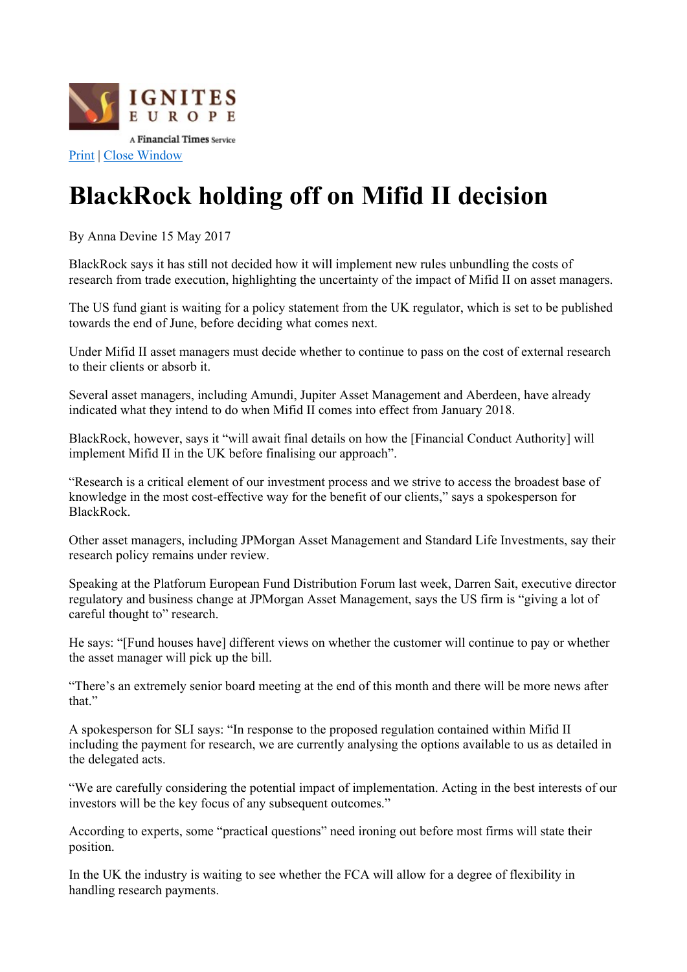

## BlackRock holding off on Mifid II decision

By Anna Devine 15 May 2017

BlackRock says it has still not decided how it will implement new rules unbundling the costs of research from trade execution, highlighting the uncertainty of the impact of Mifid II on asset managers.

The US fund giant is waiting for a policy statement from the UK regulator, which is set to be published towards the end of June, before deciding what comes next.

Under Mifid II asset managers must decide whether to continue to pass on the cost of external research to their clients or absorb it.

Several asset managers, including Amundi, Jupiter Asset Management and Aberdeen, have already indicated what they intend to do when Mifid II comes into effect from January 2018.

BlackRock, however, says it "will await final details on how the [Financial Conduct Authority] will implement Mifid II in the UK before finalising our approach".

"Research is a critical element of our investment process and we strive to access the broadest base of knowledge in the most cost-effective way for the benefit of our clients," says a spokesperson for BlackRock.

Other asset managers, including JPMorgan Asset Management and Standard Life Investments, say their research policy remains under review.

Speaking at the Platforum European Fund Distribution Forum last week, Darren Sait, executive director regulatory and business change at JPMorgan Asset Management, says the US firm is "giving a lot of careful thought to" research.

He says: "[Fund houses have] different views on whether the customer will continue to pay or whether the asset manager will pick up the bill.

"There's an extremely senior board meeting at the end of this month and there will be more news after that."

A spokesperson for SLI says: "In response to the proposed regulation contained within Mifid II including the payment for research, we are currently analysing the options available to us as detailed in the delegated acts.

"We are carefully considering the potential impact of implementation. Acting in the best interests of our investors will be the key focus of any subsequent outcomes."

According to experts, some "practical questions" need ironing out before most firms will state their position.

In the UK the industry is waiting to see whether the FCA will allow for a degree of flexibility in handling research payments.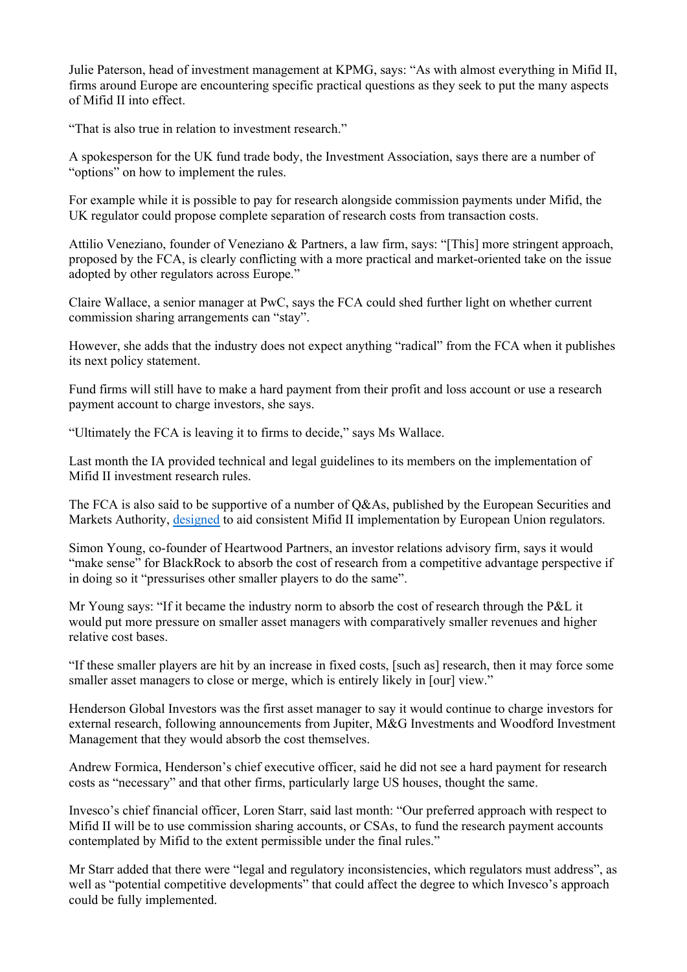Julie Paterson, head of investment management at KPMG, says: "As with almost everything in Mifid II, firms around Europe are encountering specific practical questions as they seek to put the many aspects of Mifid II into effect.

"That is also true in relation to investment research."

A spokesperson for the UK fund trade body, the Investment Association, says there are a number of "options" on how to implement the rules.

For example while it is possible to pay for research alongside commission payments under Mifid, the UK regulator could propose complete separation of research costs from transaction costs.

Attilio Veneziano, founder of Veneziano & Partners, a law firm, says: "[This] more stringent approach, proposed by the FCA, is clearly conflicting with a more practical and market-oriented take on the issue adopted by other regulators across Europe."

Claire Wallace, a senior manager at PwC, says the FCA could shed further light on whether current commission sharing arrangements can "stay".

However, she adds that the industry does not expect anything "radical" from the FCA when it publishes its next policy statement.

Fund firms will still have to make a hard payment from their profit and loss account or use a research payment account to charge investors, she says.

"Ultimately the FCA is leaving it to firms to decide," says Ms Wallace.

Last month the IA provided technical and legal guidelines to its members on the implementation of Mifid II investment research rules.

The FCA is also said to be supportive of a number of Q&As, published by the European Securities and Markets Authority, designed to aid consistent Mifid II implementation by European Union regulators.

Simon Young, co-founder of Heartwood Partners, an investor relations advisory firm, says it would "make sense" for BlackRock to absorb the cost of research from a competitive advantage perspective if in doing so it "pressurises other smaller players to do the same".

Mr Young says: "If it became the industry norm to absorb the cost of research through the P&L it would put more pressure on smaller asset managers with comparatively smaller revenues and higher relative cost bases.

"If these smaller players are hit by an increase in fixed costs, [such as] research, then it may force some smaller asset managers to close or merge, which is entirely likely in [our] view."

Henderson Global Investors was the first asset manager to say it would continue to charge investors for external research, following announcements from Jupiter, M&G Investments and Woodford Investment Management that they would absorb the cost themselves.

Andrew Formica, Henderson's chief executive officer, said he did not see a hard payment for research costs as "necessary" and that other firms, particularly large US houses, thought the same.

Invesco's chief financial officer, Loren Starr, said last month: "Our preferred approach with respect to Mifid II will be to use commission sharing accounts, or CSAs, to fund the research payment accounts contemplated by Mifid to the extent permissible under the final rules."

Mr Starr added that there were "legal and regulatory inconsistencies, which regulators must address", as well as "potential competitive developments" that could affect the degree to which Invesco's approach could be fully implemented.